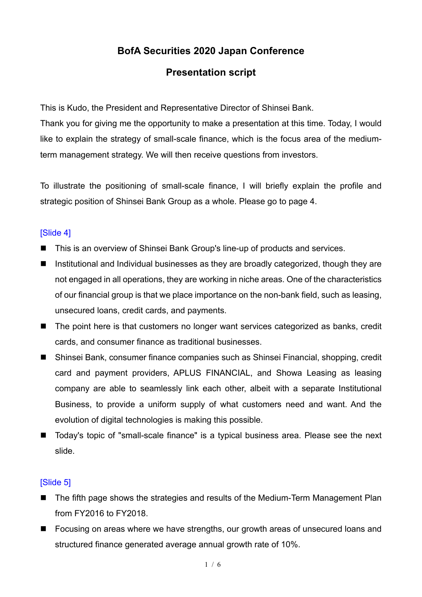# **BofA Securities 2020 Japan Conference**

# **Presentation script**

This is Kudo, the President and Representative Director of Shinsei Bank.

Thank you for giving me the opportunity to make a presentation at this time. Today, I would like to explain the strategy of small-scale finance, which is the focus area of the mediumterm management strategy. We will then receive questions from investors.

To illustrate the positioning of small-scale finance, I will briefly explain the profile and strategic position of Shinsei Bank Group as a whole. Please go to page 4.

# [Slide 4]

- This is an overview of Shinsei Bank Group's line-up of products and services.
- Institutional and Individual businesses as they are broadly categorized, though they are not engaged in all operations, they are working in niche areas. One of the characteristics of our financial group is that we place importance on the non-bank field, such as leasing, unsecured loans, credit cards, and payments.
- The point here is that customers no longer want services categorized as banks, credit cards, and consumer finance as traditional businesses.
- Shinsei Bank, consumer finance companies such as Shinsei Financial, shopping, credit card and payment providers, APLUS FINANCIAL, and Showa Leasing as leasing company are able to seamlessly link each other, albeit with a separate Institutional Business, to provide a uniform supply of what customers need and want. And the evolution of digital technologies is making this possible.
- Today's topic of "small-scale finance" is a typical business area. Please see the next slide.

# [Slide 5]

- The fifth page shows the strategies and results of the Medium-Term Management Plan from FY2016 to FY2018.
- Focusing on areas where we have strengths, our growth areas of unsecured loans and structured finance generated average annual growth rate of 10%.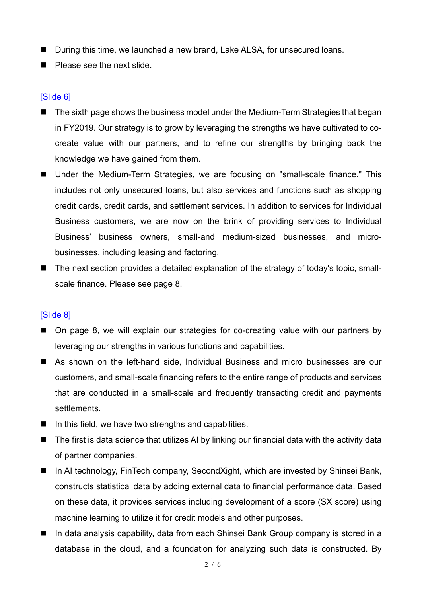- During this time, we launched a new brand, Lake ALSA, for unsecured loans.
- **Please see the next slide.**

# [Slide 6]

- The sixth page shows the business model under the Medium-Term Strategies that began in FY2019. Our strategy is to grow by leveraging the strengths we have cultivated to cocreate value with our partners, and to refine our strengths by bringing back the knowledge we have gained from them.
- Under the Medium-Term Strategies, we are focusing on "small-scale finance." This includes not only unsecured loans, but also services and functions such as shopping credit cards, credit cards, and settlement services. In addition to services for Individual Business customers, we are now on the brink of providing services to Individual Business' business owners, small-and medium-sized businesses, and microbusinesses, including leasing and factoring.
- The next section provides a detailed explanation of the strategy of today's topic, smallscale finance. Please see page 8.

# [Slide 8]

- On page 8, we will explain our strategies for co-creating value with our partners by leveraging our strengths in various functions and capabilities.
- As shown on the left-hand side, Individual Business and micro businesses are our customers, and small-scale financing refers to the entire range of products and services that are conducted in a small-scale and frequently transacting credit and payments **settlements**
- $\blacksquare$  In this field, we have two strengths and capabilities.
- The first is data science that utilizes AI by linking our financial data with the activity data of partner companies.
- In AI technology, FinTech company, SecondXight, which are invested by Shinsei Bank, constructs statistical data by adding external data to financial performance data. Based on these data, it provides services including development of a score (SX score) using machine learning to utilize it for credit models and other purposes.
- In data analysis capability, data from each Shinsei Bank Group company is stored in a database in the cloud, and a foundation for analyzing such data is constructed. By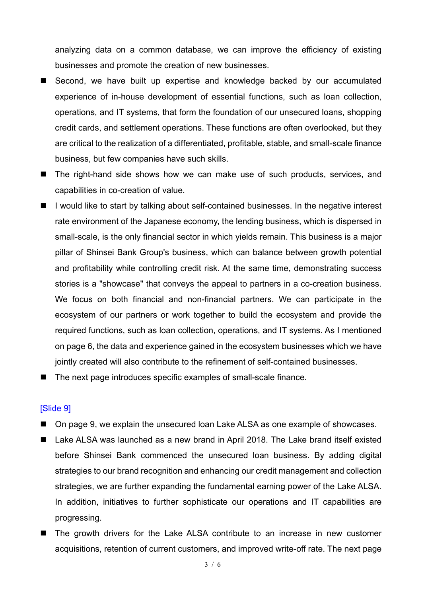analyzing data on a common database, we can improve the efficiency of existing businesses and promote the creation of new businesses.

- Second, we have built up expertise and knowledge backed by our accumulated experience of in-house development of essential functions, such as loan collection, operations, and IT systems, that form the foundation of our unsecured loans, shopping credit cards, and settlement operations. These functions are often overlooked, but they are critical to the realization of a differentiated, profitable, stable, and small-scale finance business, but few companies have such skills.
- The right-hand side shows how we can make use of such products, services, and capabilities in co-creation of value.
- $\blacksquare$  I would like to start by talking about self-contained businesses. In the negative interest rate environment of the Japanese economy, the lending business, which is dispersed in small-scale, is the only financial sector in which yields remain. This business is a major pillar of Shinsei Bank Group's business, which can balance between growth potential and profitability while controlling credit risk. At the same time, demonstrating success stories is a "showcase" that conveys the appeal to partners in a co-creation business. We focus on both financial and non-financial partners. We can participate in the ecosystem of our partners or work together to build the ecosystem and provide the required functions, such as loan collection, operations, and IT systems. As I mentioned on page 6, the data and experience gained in the ecosystem businesses which we have jointly created will also contribute to the refinement of self-contained businesses.
- The next page introduces specific examples of small-scale finance.

#### [Slide 9]

- On page 9, we explain the unsecured loan Lake ALSA as one example of showcases.
- Lake ALSA was launched as a new brand in April 2018. The Lake brand itself existed before Shinsei Bank commenced the unsecured loan business. By adding digital strategies to our brand recognition and enhancing our credit management and collection strategies, we are further expanding the fundamental earning power of the Lake ALSA. In addition, initiatives to further sophisticate our operations and IT capabilities are progressing.
- The growth drivers for the Lake ALSA contribute to an increase in new customer acquisitions, retention of current customers, and improved write-off rate. The next page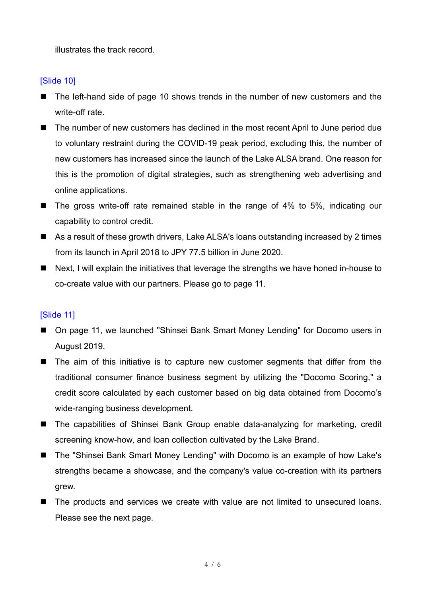illustrates the track record.

# [Slide 10]

- The left-hand side of page 10 shows trends in the number of new customers and the write-off rate.
- The number of new customers has declined in the most recent April to June period due to voluntary restraint during the COVID-19 peak period, excluding this, the number of new customers has increased since the launch of the Lake ALSA brand. One reason for this is the promotion of digital strategies, such as strengthening web advertising and online applications.
- The gross write-off rate remained stable in the range of 4% to 5%, indicating our capability to control credit.
- As a result of these growth drivers, Lake ALSA's loans outstanding increased by 2 times from its launch in April 2018 to JPY 77.5 billion in June 2020.
- Next, I will explain the initiatives that leverage the strengths we have honed in-house to co-create value with our partners. Please go to page 11.

# [Slide 11]

- On page 11, we launched "Shinsei Bank Smart Money Lending" for Docomo users in August 2019.
- The aim of this initiative is to capture new customer segments that differ from the traditional consumer finance business segment by utilizing the "Docomo Scoring," a credit score calculated by each customer based on big data obtained from Docomo's wide-ranging business development.
- The capabilities of Shinsei Bank Group enable data-analyzing for marketing, credit screening know-how, and loan collection cultivated by the Lake Brand.
- The "Shinsei Bank Smart Money Lending" with Docomo is an example of how Lake's strengths became a showcase, and the company's value co-creation with its partners grew.
- The products and services we create with value are not limited to unsecured loans. Please see the next page.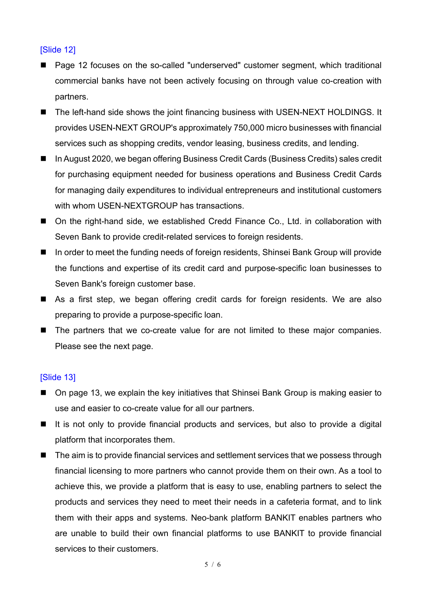# [Slide 12]

- Page 12 focuses on the so-called "underserved" customer segment, which traditional commercial banks have not been actively focusing on through value co-creation with partners.
- The left-hand side shows the joint financing business with USEN-NEXT HOLDINGS. It provides USEN-NEXT GROUP's approximately 750,000 micro businesses with financial services such as shopping credits, vendor leasing, business credits, and lending.
- In August 2020, we began offering Business Credit Cards (Business Credits) sales credit for purchasing equipment needed for business operations and Business Credit Cards for managing daily expenditures to individual entrepreneurs and institutional customers with whom USEN-NEXTGROUP has transactions.
- On the right-hand side, we established Credd Finance Co., Ltd. in collaboration with Seven Bank to provide credit-related services to foreign residents.
- In order to meet the funding needs of foreign residents, Shinsei Bank Group will provide the functions and expertise of its credit card and purpose-specific loan businesses to Seven Bank's foreign customer base.
- As a first step, we began offering credit cards for foreign residents. We are also preparing to provide a purpose-specific loan.
- The partners that we co-create value for are not limited to these major companies. Please see the next page.

# **ISlide 131**

- On page 13, we explain the key initiatives that Shinsei Bank Group is making easier to use and easier to co-create value for all our partners.
- It is not only to provide financial products and services, but also to provide a digital platform that incorporates them.
- The aim is to provide financial services and settlement services that we possess through financial licensing to more partners who cannot provide them on their own. As a tool to achieve this, we provide a platform that is easy to use, enabling partners to select the products and services they need to meet their needs in a cafeteria format, and to link them with their apps and systems. Neo-bank platform BANKIT enables partners who are unable to build their own financial platforms to use BANKIT to provide financial services to their customers.